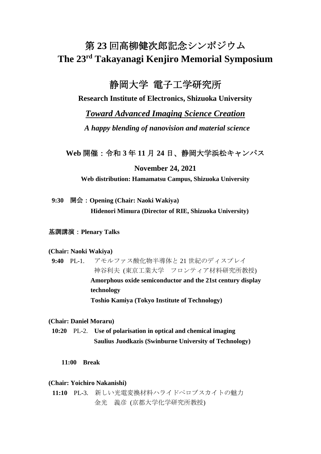# 第 **23** 回高柳健次郎記念シンポジウム **The 23 rd Takayanagi Kenjiro Memorial Symposium**

# 静岡大学 電子工学研究所

**Research Institute of Electronics, Shizuoka University**

# *Toward Advanced Imaging Science Creation*

*A happy blending of nanovision and material science* 

**Web** 開催:令和 **3** 年 **11** 月 **24** 日、静岡大学浜松キャンパス

## **November 24, 2021**

**Web distribution: Hamamatsu Campus, Shizuoka University**

## **9:30** 開会:**Opening (Chair: Naoki Wakiya)**

**Hidenori Mimura (Director of RIE, Shizuoka University)**

## 基調講演:**Plenary Talks**

## **(Chair: Naoki Wakiya)**

**9:40** PL-1. アモルファス酸化物半導体と 21 世紀のディスプレイ 神谷利夫 (東京工業大学 フロンティア材料研究所教授) **Amorphous oxide semiconductor and the 21st century display technology Toshio Kamiya (Tokyo Institute of Technology)**

**(Chair: Daniel Moraru)**

**10:20** PL-2. **Use of polarisation in optical and chemical imaging Saulius Juodkazis (Swinburne University of Technology)**

**11:00 Break**

## **(Chair: Yoichiro Nakanishi)**

**11:10** PL-3. 新しい光電変換材料ハライドペロブスカイトの魅力 金光 義彦 (京都大学化学研究所教授)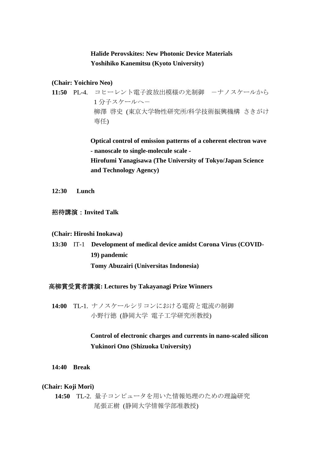# **Halide Perovskites: New Photonic Device Materials Yoshihiko Kanemitsu (Kyoto University)**

#### **(Chair: Yoichiro Neo)**

11:50 PL-4. コヒーレント電子波放出模様の光制御 ーナノスケールから 1 分子スケールへ- 柳澤 啓史 (東京大学物性研究所/科学技術振興機構 さきがけ 専任)

> **Optical control of emission patterns of a coherent electron wave - nanoscale to single-molecule scale - Hirofumi Yanagisawa (The University of Tokyo/Japan Science and Technology Agency)**

**12:30 Lunch**

## 招待講演:**Invited Talk**

#### **(Chair: Hiroshi Inokawa)**

 **13:30** IT-1 **Development of medical device amidst Corona Virus (COVID-19) pandemic Tomy Abuzairi (Universitas Indonesia)**

#### 高柳賞受賞者講演**: Lectures by Takayanagi Prize Winners**

**14:00** TL-1. ナノスケールシリコンにおける電荷と電流の制御 小野行徳 (静岡大学 電子工学研究所教授)

# **Control of electronic charges and currents in nano-scaled silicon Yukinori Ono (Shizuoka University)**

**14:40 Break**

#### **(Chair: Koji Mori)**

**14:50** TL-2. 量子コンピュータを用いた情報処理のための理論研究 尾張正樹 (静岡大学情報学部准教授)